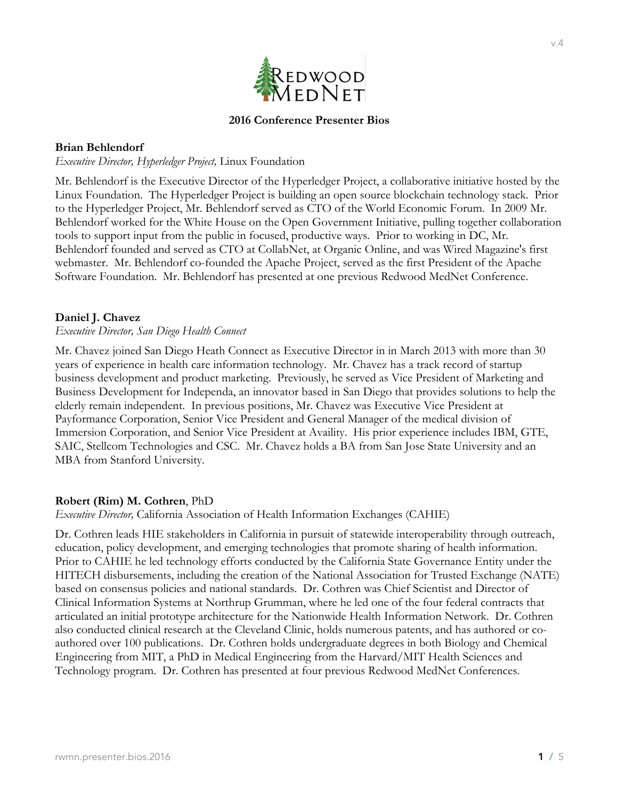

## **2016 Conference Presenter Bios**

## **Brian Behlendorf**

*Executive Director, Hyperledger Project,* Linux Foundation

Mr. Behlendorf is the Executive Director of the Hyperledger Project, a collaborative initiative hosted by the Linux Foundation. The Hyperledger Project is building an open source blockchain technology stack. Prior to the Hyperledger Project, Mr. Behlendorf served as CTO of the World Economic Forum. In 2009 Mr. Behlendorf worked for the White House on the Open Government Initiative, pulling together collaboration tools to support input from the public in focused, productive ways. Prior to working in DC, Mr. Behlendorf founded and served as CTO at CollabNet, at Organic Online, and was Wired Magazine's first webmaster. Mr. Behlendorf co-founded the Apache Project, served as the first President of the Apache Software Foundation. Mr. Behlendorf has presented at one previous Redwood MedNet Conference.

## **Daniel J. Chavez**

#### *Executive Director, San Diego Health Connect*

Mr. Chavez joined San Diego Heath Connect as Executive Director in in March 2013 with more than 30 years of experience in health care information technology. Mr. Chavez has a track record of startup business development and product marketing. Previously, he served as Vice President of Marketing and Business Development for Independa, an innovator based in San Diego that provides solutions to help the elderly remain independent. In previous positions, Mr. Chavez was Executive Vice President at Payformance Corporation, Senior Vice President and General Manager of the medical division of Immersion Corporation, and Senior Vice President at Availity. His prior experience includes IBM, GTE, SAIC, Stellcom Technologies and CSC. Mr. Chavez holds a BA from San Jose State University and an MBA from Stanford University.

#### **Robert (Rim) M. Cothren**, PhD

*Executive Director,* California Association of Health Information Exchanges (CAHIE)

Dr. Cothren leads HIE stakeholders in California in pursuit of statewide interoperability through outreach, education, policy development, and emerging technologies that promote sharing of health information. Prior to CAHIE he led technology efforts conducted by the California State Governance Entity under the HITECH disbursements, including the creation of the National Association for Trusted Exchange (NATE) based on consensus policies and national standards. Dr. Cothren was Chief Scientist and Director of Clinical Information Systems at Northrup Grumman, where he led one of the four federal contracts that articulated an initial prototype architecture for the Nationwide Health Information Network. Dr. Cothren also conducted clinical research at the Cleveland Clinic, holds numerous patents, and has authored or coauthored over 100 publications. Dr. Cothren holds undergraduate degrees in both Biology and Chemical Engineering from MIT, a PhD in Medical Engineering from the Harvard/MIT Health Sciences and Technology program. Dr. Cothren has presented at four previous Redwood MedNet Conferences.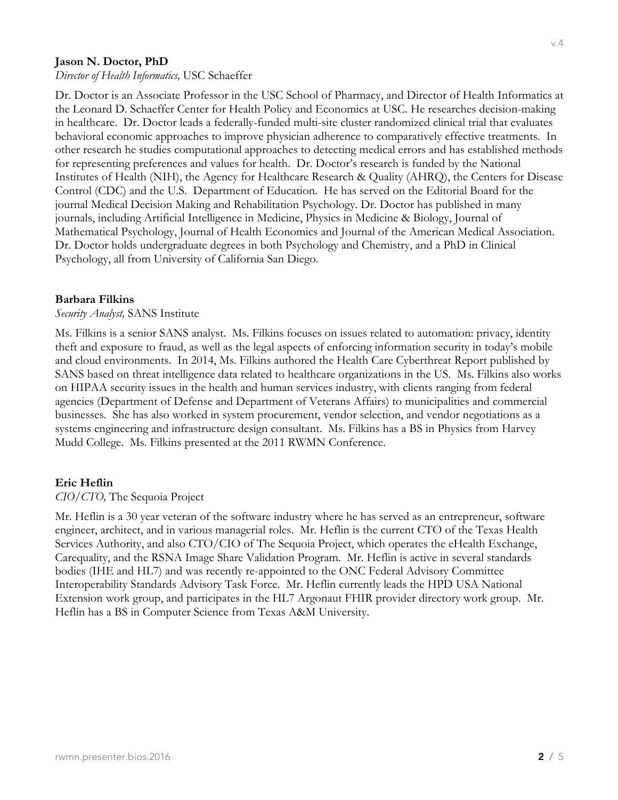## **Jason N. Doctor, PhD**

*Director of Health Informatics,* USC Schaeffer

Dr. Doctor is an Associate Professor in the USC School of Pharmacy, and Director of Health Informatics at the Leonard D. Schaeffer Center for Health Policy and Economics at USC. He researches decision-making in healthcare. Dr. Doctor leads a federally-funded multi-site cluster randomized clinical trial that evaluates behavioral economic approaches to improve physician adherence to comparatively effective treatments. In other research he studies computational approaches to detecting medical errors and has established methods for representing preferences and values for health. Dr. Doctor's research is funded by the National Institutes of Health (NIH), the Agency for Healthcare Research & Quality (AHRQ), the Centers for Disease Control (CDC) and the U.S. Department of Education. He has served on the Editorial Board for the journal Medical Decision Making and Rehabilitation Psychology. Dr. Doctor has published in many journals, including Artificial Intelligence in Medicine, Physics in Medicine & Biology, Journal of Mathematical Psychology, Journal of Health Economics and Journal of the American Medical Association. Dr. Doctor holds undergraduate degrees in both Psychology and Chemistry, and a PhD in Clinical Psychology, all from University of California San Diego.

### **Barbara Filkins**

## *Security Analyst,* SANS Institute

Ms. Filkins is a senior SANS analyst. Ms. Filkins focuses on issues related to automation: privacy, identity theft and exposure to fraud, as well as the legal aspects of enforcing information security in today's mobile and cloud environments. In 2014, Ms. Filkins authored the Health Care Cyberthreat Report published by SANS based on threat intelligence data related to healthcare organizations in the US. Ms. Filkins also works on HIPAA security issues in the health and human services industry, with clients ranging from federal agencies (Department of Defense and Department of Veterans Affairs) to municipalities and commercial businesses. She has also worked in system procurement, vendor selection, and vendor negotiations as a systems engineering and infrastructure design consultant. Ms. Filkins has a BS in Physics from Harvey Mudd College. Ms. Filkins presented at the 2011 RWMN Conference.

## **Eric Heflin**

*CIO/CTO,* The Sequoia Project

Mr. Heflin is a 30 year veteran of the software industry where he has served as an entrepreneur, software engineer, architect, and in various managerial roles. Mr. Heflin is the current CTO of the Texas Health Services Authority, and also CTO/CIO of The Sequoia Project, which operates the eHealth Exchange, Carequality, and the RSNA Image Share Validation Program. Mr. Heflin is active in several standards bodies (IHE and HL7) and was recently re-appointed to the ONC Federal Advisory Committee Interoperability Standards Advisory Task Force. Mr. Heflin currently leads the HPD USA National Extension work group, and participates in the HL7 Argonaut FHIR provider directory work group. Mr. Heflin has a BS in Computer Science from Texas A&M University.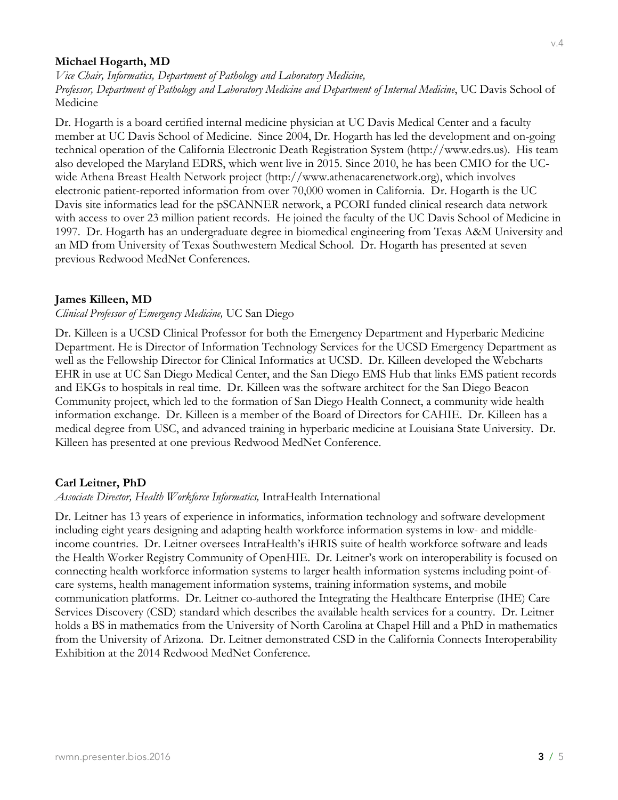## **Michael Hogarth, MD**

*Vice Chair, Informatics, Department of Pathology and Laboratory Medicine, Professor, Department of Pathology and Laboratory Medicine and Department of Internal Medicine*, UC Davis School of Medicine

Dr. Hogarth is a board certified internal medicine physician at UC Davis Medical Center and a faculty member at UC Davis School of Medicine. Since 2004, Dr. Hogarth has led the development and on-going technical operation of the California Electronic Death Registration System (http://www.edrs.us). His team also developed the Maryland EDRS, which went live in 2015. Since 2010, he has been CMIO for the UCwide Athena Breast Health Network project (http://www.athenacarenetwork.org), which involves electronic patient-reported information from over 70,000 women in California. Dr. Hogarth is the UC Davis site informatics lead for the pSCANNER network, a PCORI funded clinical research data network with access to over 23 million patient records. He joined the faculty of the UC Davis School of Medicine in 1997. Dr. Hogarth has an undergraduate degree in biomedical engineering from Texas A&M University and an MD from University of Texas Southwestern Medical School. Dr. Hogarth has presented at seven previous Redwood MedNet Conferences.

## **James Killeen, MD**

#### *Clinical Professor of Emergency Medicine,* UC San Diego

Dr. Killeen is a UCSD Clinical Professor for both the Emergency Department and Hyperbaric Medicine Department. He is Director of Information Technology Services for the UCSD Emergency Department as well as the Fellowship Director for Clinical Informatics at UCSD. Dr. Killeen developed the Webcharts EHR in use at UC San Diego Medical Center, and the San Diego EMS Hub that links EMS patient records and EKGs to hospitals in real time. Dr. Killeen was the software architect for the San Diego Beacon Community project, which led to the formation of San Diego Health Connect, a community wide health information exchange. Dr. Killeen is a member of the Board of Directors for CAHIE. Dr. Killeen has a medical degree from USC, and advanced training in hyperbaric medicine at Louisiana State University. Dr. Killeen has presented at one previous Redwood MedNet Conference.

#### **Carl Leitner, PhD**

#### *Associate Director, Health Workforce Informatics,* IntraHealth International

Dr. Leitner has 13 years of experience in informatics, information technology and software development including eight years designing and adapting health workforce information systems in low- and middleincome countries. Dr. Leitner oversees IntraHealth's iHRIS suite of health workforce software and leads the Health Worker Registry Community of OpenHIE. Dr. Leitner's work on interoperability is focused on connecting health workforce information systems to larger health information systems including point-ofcare systems, health management information systems, training information systems, and mobile communication platforms. Dr. Leitner co-authored the Integrating the Healthcare Enterprise (IHE) Care Services Discovery (CSD) standard which describes the available health services for a country. Dr. Leitner holds a BS in mathematics from the University of North Carolina at Chapel Hill and a PhD in mathematics from the University of Arizona. Dr. Leitner demonstrated CSD in the California Connects Interoperability Exhibition at the 2014 Redwood MedNet Conference.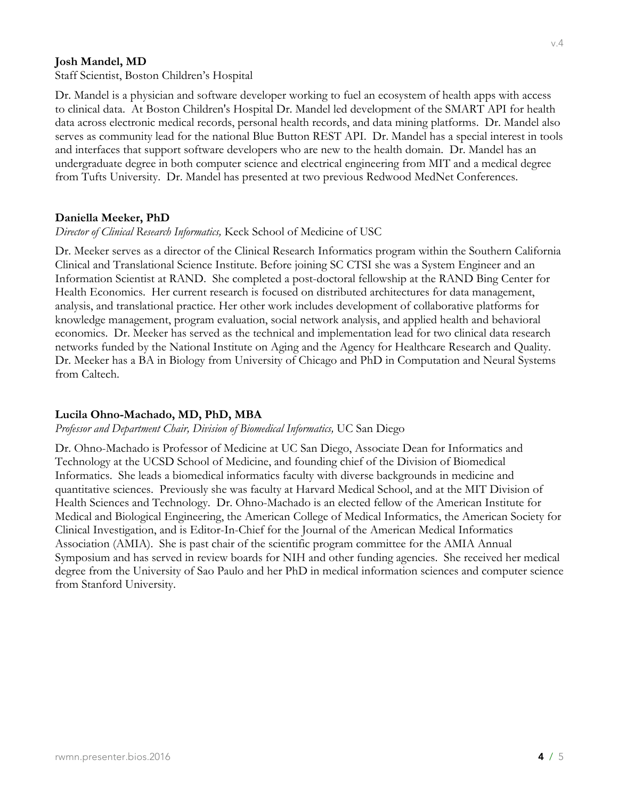## **Josh Mandel, MD**

Staff Scientist, Boston Children's Hospital

Dr. Mandel is a physician and software developer working to fuel an ecosystem of health apps with access to clinical data. At Boston Children's Hospital Dr. Mandel led development of the SMART API for health data across electronic medical records, personal health records, and data mining platforms. Dr. Mandel also serves as community lead for the national Blue Button REST API. Dr. Mandel has a special interest in tools and interfaces that support software developers who are new to the health domain. Dr. Mandel has an undergraduate degree in both computer science and electrical engineering from MIT and a medical degree from Tufts University. Dr. Mandel has presented at two previous Redwood MedNet Conferences.

## **Daniella Meeker, PhD**

*Director of Clinical Research Informatics,* Keck School of Medicine of USC

Dr. Meeker serves as a director of the Clinical Research Informatics program within the Southern California Clinical and Translational Science Institute. Before joining SC CTSI she was a System Engineer and an Information Scientist at RAND. She completed a post-doctoral fellowship at the RAND Bing Center for Health Economics. Her current research is focused on distributed architectures for data management, analysis, and translational practice. Her other work includes development of collaborative platforms for knowledge management, program evaluation, social network analysis, and applied health and behavioral economics. Dr. Meeker has served as the technical and implementation lead for two clinical data research networks funded by the National Institute on Aging and the Agency for Healthcare Research and Quality. Dr. Meeker has a BA in Biology from University of Chicago and PhD in Computation and Neural Systems from Caltech.

# **Lucila Ohno-Machado, MD, PhD, MBA**

*Professor and Department Chair, Division of Biomedical Informatics,* UC San Diego

Dr. Ohno-Machado is Professor of Medicine at UC San Diego, Associate Dean for Informatics and Technology at the UCSD School of Medicine, and founding chief of the Division of Biomedical Informatics. She leads a biomedical informatics faculty with diverse backgrounds in medicine and quantitative sciences. Previously she was faculty at Harvard Medical School, and at the MIT Division of Health Sciences and Technology. Dr. Ohno-Machado is an elected fellow of the American Institute for Medical and Biological Engineering, the American College of Medical Informatics, the American Society for Clinical Investigation, and is Editor-In-Chief for the Journal of the American Medical Informatics Association (AMIA). She is past chair of the scientific program committee for the AMIA Annual Symposium and has served in review boards for NIH and other funding agencies. She received her medical degree from the University of Sao Paulo and her PhD in medical information sciences and computer science from Stanford University.